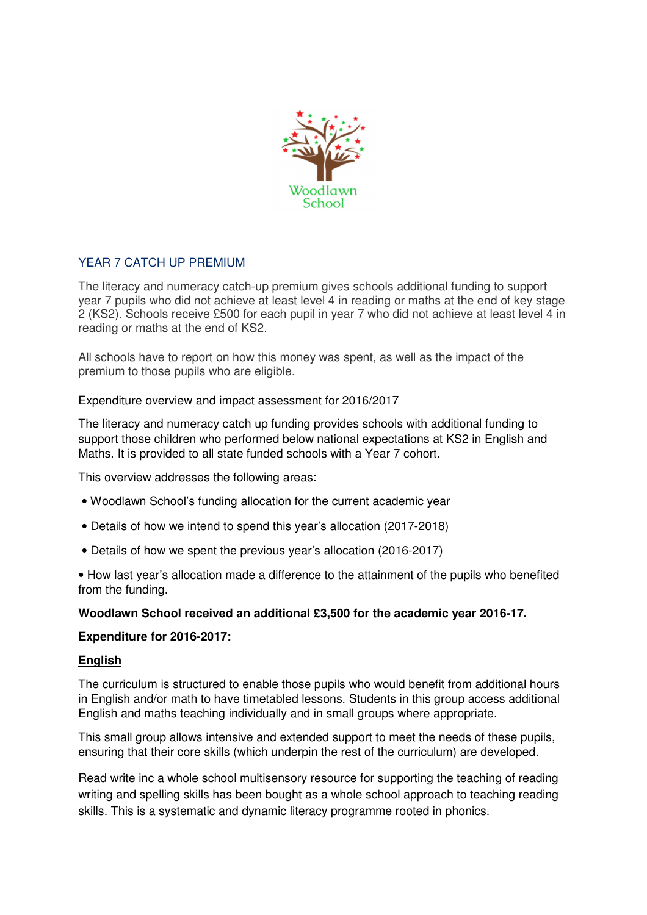

# YEAR 7 CATCH UP PREMIUM

The literacy and numeracy catch-up premium gives schools additional funding to support year 7 pupils who did not achieve at least level 4 in reading or maths at the end of key stage 2 (KS2). Schools receive £500 for each pupil in year 7 who did not achieve at least level 4 in reading or maths at the end of KS2.

All schools have to report on how this money was spent, as well as the impact of the premium to those pupils who are eligible.

# Expenditure overview and impact assessment for 2016/2017

The literacy and numeracy catch up funding provides schools with additional funding to support those children who performed below national expectations at KS2 in English and Maths. It is provided to all state funded schools with a Year 7 cohort.

This overview addresses the following areas:

- Woodlawn School's funding allocation for the current academic year
- Details of how we intend to spend this year's allocation (2017-2018)
- Details of how we spent the previous year's allocation (2016-2017)

• How last year's allocation made a difference to the attainment of the pupils who benefited from the funding.

### **Woodlawn School received an additional £3,500 for the academic year 2016-17.**

### **Expenditure for 2016-2017:**

### **English**

The curriculum is structured to enable those pupils who would benefit from additional hours in English and/or math to have timetabled lessons. Students in this group access additional English and maths teaching individually and in small groups where appropriate.

This small group allows intensive and extended support to meet the needs of these pupils, ensuring that their core skills (which underpin the rest of the curriculum) are developed.

Read write inc a whole school multisensory resource for supporting the teaching of reading writing and spelling skills has been bought as a whole school approach to teaching reading skills. This is a systematic and dynamic literacy programme rooted in phonics.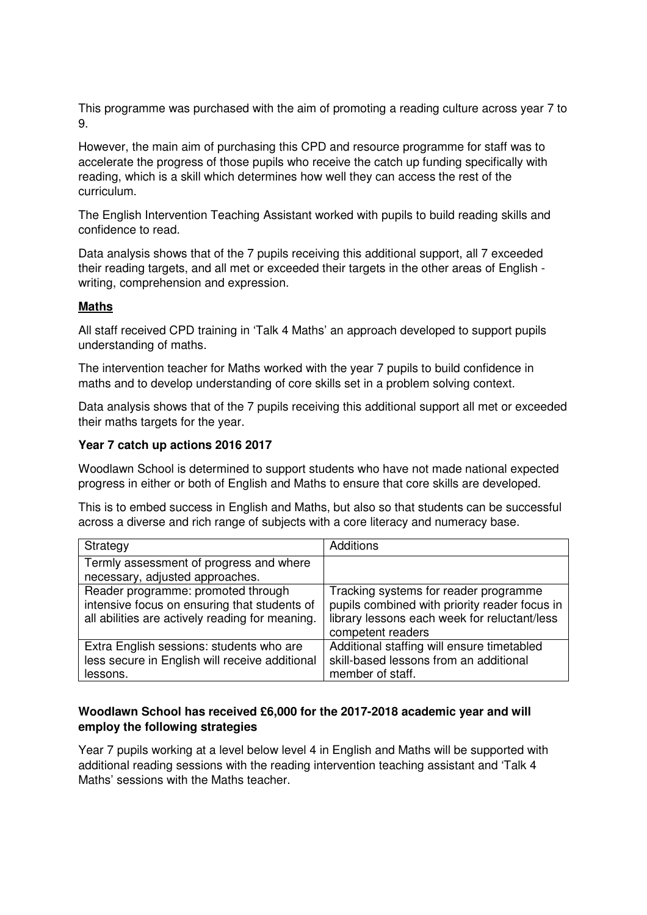This programme was purchased with the aim of promoting a reading culture across year 7 to 9.

However, the main aim of purchasing this CPD and resource programme for staff was to accelerate the progress of those pupils who receive the catch up funding specifically with reading, which is a skill which determines how well they can access the rest of the curriculum.

The English Intervention Teaching Assistant worked with pupils to build reading skills and confidence to read.

Data analysis shows that of the 7 pupils receiving this additional support, all 7 exceeded their reading targets, and all met or exceeded their targets in the other areas of English writing, comprehension and expression.

### **Maths**

All staff received CPD training in 'Talk 4 Maths' an approach developed to support pupils understanding of maths.

The intervention teacher for Maths worked with the year 7 pupils to build confidence in maths and to develop understanding of core skills set in a problem solving context.

Data analysis shows that of the 7 pupils receiving this additional support all met or exceeded their maths targets for the year.

# **Year 7 catch up actions 2016 2017**

Woodlawn School is determined to support students who have not made national expected progress in either or both of English and Maths to ensure that core skills are developed.

This is to embed success in English and Maths, but also so that students can be successful across a diverse and rich range of subjects with a core literacy and numeracy base.

| Strategy                                                                                                                              | <b>Additions</b>                                                                                                                                            |
|---------------------------------------------------------------------------------------------------------------------------------------|-------------------------------------------------------------------------------------------------------------------------------------------------------------|
| Termly assessment of progress and where<br>necessary, adjusted approaches.                                                            |                                                                                                                                                             |
| Reader programme: promoted through<br>intensive focus on ensuring that students of<br>all abilities are actively reading for meaning. | Tracking systems for reader programme<br>pupils combined with priority reader focus in<br>library lessons each week for reluctant/less<br>competent readers |
| Extra English sessions: students who are<br>less secure in English will receive additional<br>lessons.                                | Additional staffing will ensure timetabled<br>skill-based lessons from an additional<br>member of staff.                                                    |

# **Woodlawn School has received £6,000 for the 2017-2018 academic year and will employ the following strategies**

Year 7 pupils working at a level below level 4 in English and Maths will be supported with additional reading sessions with the reading intervention teaching assistant and 'Talk 4 Maths' sessions with the Maths teacher.